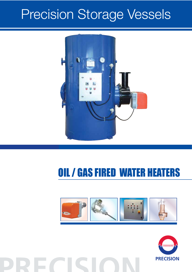# Precision Storage Vessels



#### **OIL / GAS FIRED WATER HEATERS** di sfilare il gruppo di polverizzazione s)MPIANTO ELETTRICO CON GRADO DI protezione IP40. s#OPERCHIO DI PROTEZIONE IN MATERIALE plastico insonorizzante con materassino fonoassorbente. **GAS** scorrevole per adattare la sporgenza Conformi alla: Direttiva E.M.C. 89/336/CEE Direttiva L.V. 73/23/CEE Norma di riferimento: EN267



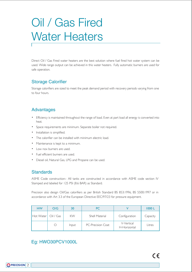## Oil / Gas Fired Water Heaters

Direct Oil / Gas Fired water heaters are the best solution where fuel fired hot water system can be used. Wide range output can be achieved in this water heaters. Fully automatic burners are used for safe operation.

### Storage Calorifier

Storage calorifiers are sized to meet the peak demand period with recovery periods varying from one to four hours.

### Advantages

- Efficiency is maintained throughout the range of load. Even at part load all energy is converted into heat.
- Space requirements are minimum. Separate boiler not required.
- Installation is simplified.
- The calorifier can be installed with minimum electric load.
- Maintenance is kept to a minimum.
- Low nox burners are used.
- Fuel efficient burners are used.
- Diesel oil, Natural Gas, LPG and Propane can be used.

### **Standards**

ASME Code construction:- All tanks are constructed in accordance with ASME code section IV Stamped and labeled for 125 PSI (8.6 BAR) as Standard.

Precision also design Oil/Gas calorifiers as per British Standard BS 853:1996, BS 5500:1997 or in accordance with Art 3.3 of the European Directive EEC/97/23 for pressure equipment.

| <b>HW</b> | O/G       | 30    | PC.                   |                            | 1000L    |
|-----------|-----------|-------|-----------------------|----------------------------|----------|
| Hot Water | Oil / Gas | KW    | <b>Shell Material</b> | Configuration              | Capacity |
|           | O         | Input | PC-Precision Coat     | V-Vertical<br>H-Horizontal | Litres   |

### Eg: HWO30PCV1000L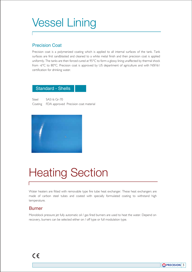### Vessel Lining

### Precision Coat

Precision coat is a polymerized coating which is applied to all internal surfaces of the tank. Tank surfaces are first sandblasted and cleaned to a white metal finish and then precision coat is applied uniformly. The tanks are then forced cured at 95°C to form a glossy lining unaffected by thermal shock from -6°C to 80°C. Precision coat is approved by US department of agriculture and with NSF/61 certification for drinking water.

### Standard - Shells

Steel SA516 Gr-70 Coating FDA approved Precision coat material



## Heating Section

Water heaters are fitted with removable type fire tube heat exchanger. These heat exchangers are made of carbon steel tubes and coated with specially formulated coating to withstand high temperature.

### **Burner**

Monoblock pressure jet fully automatic oil / gas fired burners are used to heat the water. Depend on recovery, burners can be selected either on / off type or full modulation type.

 $Q$ PRECISION 3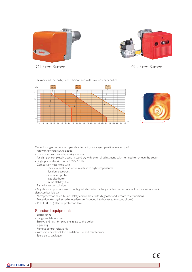



MONOSTADIO Oil Fired Burner Simple burner

(combustibile di origine vegetale),

Gas Fired Burner

Burners will be highly fuel efficient and with low nox capabilities.

s-OTORE ELETTRICO MONOFASE PER





Monoblock, gas burners, completely automatic, one stage operation, made up of:

- Fan with forward curve blades
- Cover lined with sound-proofing material
- Cover lined with sound-prooling material<br>- Air damper, completely closed in stand by, with external adjustment, with no need to remove the cover ju.<br>.  $\sum_{i=1}^n$
- Single phase electric motor 230 V, 50 Hz
- Combustion head fitted with:
	- 1<sub>0</sub> Particle steel head cone, resistant to high temperatures Pressure regulator setting device
	- ignition electrodes
	- ionisation probe
	- gas distributor
	- flame stability disk
- Flame inspection window
- Adjustable air pressure switch, with graduated selector, to guarantee burner lock out in the case of insuffi<br>- Adjustable air pressure switch, with graduated selector, to guarantee burner lock out in the case of insuffi cient combustible air ta<br>es<br>na el<br>o L1
- cient combastible air<br>- Microprocessor-based burner safety control box, with diagnostic and remote reset functions
- Protection filter against radio interference (included into burner safety control box)  $\mathsf{s}^\mathsf{n}$ usu
- IP X0D (IP 40) electric protection level.

### Standard equipment:

- Sliding flange
- Flange insulation screen
- Screws and nuts for fixing the flange to the boiler
- 7-pin plug
- Remote control release kit
- Instruction handbook for installation, use and maintenance
- Spare parts catalogue.

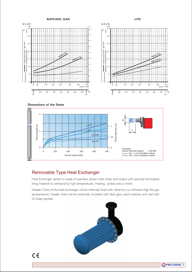**NATURAL GAS LPG**



**Dimensions of the flame**



### Removable Type Heat Exchanger

Heat Exchanger section is made of seamless carbon steel sheet and coated with specially formulated lining material to withstand by high temperatures. Heating surface area is more.

Header Chest of the heat exchanger will be internally lined with refractory to withstand high flue gas temperatures. Header chest will be externally insulated with fibre glass wool mattress and clad with GI sheet painted.



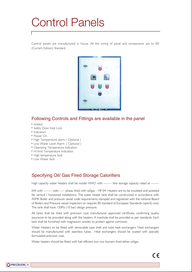### Control Panels

Control panels are manufactured in house. All the wiring of panel and components are to IEE (Current Edition) Standard.



### Following Controls and Fittings are available in the panel

- Isolator
- Safety Door Inlet Lock
- Indicators
- Power On
- High Temperature alarm ( Optional )
- Low Water Level Alarm ( Optional )
- Operating Temperature Indication
- Hi limit Temperature Indication
- High temperature fault
- Low Water fault

### Specifying Oil/ Gas Fired Storage Calorifiers

High capacity water heaters shall be model HWO with -------- litre storage capacity rated at --------

kW with -------- volts ----- phase, fired with oil/gas - HP 04. Heaters are to be insulated and jacketed for vertical / horizontal installations. The water heater tank shall be constructed in accordance with ASME Boiler and pressure vessel code requirements stamped and registered with the national Board of Boilers and Pressure vessel inspectors or requires BS standard of European Standards (specify one) The tank shall have 150Psi (10 bar) design pressure.

All tanks shall be lined with precision coat manufacturer approved certificate, confirming quality assurance to be provided along with the heaters. A manhole shall be provided as per standards. Each tank shall be furnished with magnesium anodes to protect against corrosion.

Water Heaters to be fitted with removable type shell and tube heat exchangers. Heat exchangers should be manufactured with seamless tubes. Heat exchangers should be coated with specially formulated precision coat.

Water heaters should be fitted with fuel efficient low nox burners fired either oil/gas.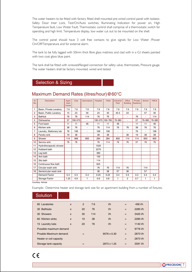The water heaters to be fitted with factory fitted shell mounted pre-wired control panel with Isolator, Safety Door Inter Lock, Test/On/Auto switches, Illuminating Indication for power on, High Temperature fault, Low Water Fault, Thermostatic control shall comprise of a thermostatic switch for operating and high limit. Temperature display, low water cut out to be mounted on the shell.

The control panel should have 3 volt free contacts to give signals for Low Water /Power On/Off/Temperature and for external alarm.

The tank to be fully lagged with 50mm thick fibre glass mattress and clad with in a G.I sheets painted with two coat gloss blue paint.

The tank shall be fitted with screwed/flanged connection for safety valve, thermostats, Pressure gauge. The water heaters shall be factory mounted, wired and tested.

### Selection & Sizing

| 7.6    |
|--------|
| 30     |
| 114    |
| 76-380 |
| 46     |
| 76     |
| 106    |
| 38     |
| 850    |
| 76     |
|        |
|        |
|        |
|        |
|        |
|        |
|        |
|        |
| 0.4    |
| 1      |
|        |

### Maximum Demand Rates (litres/hour)@60°C

Courtesy: Ashrae

Example:- Determine heater and storage tank size for an apartment building from a number of fixtures.

### **Solution**

| 60 Lavatories           | $\mathsf{x}$ | 2   | 7.6 | 1/h         | $=$ | 456 l/h  |
|-------------------------|--------------|-----|-----|-------------|-----|----------|
| <b>Bathtubs</b><br>30   | $\mathsf{x}$ | 20  | 76  | 1/h         | $=$ | 2280 l/h |
| 30 Showers              | $\mathsf{x}$ | 30  | 114 | 1/h         | $=$ | 3420 l/h |
| 60 Kitchen sinks        | $\mathsf{x}$ | 10  | 38  | 1/h         | $=$ | 2280 l/h |
| 15 Laundry tubs         | $\mathsf{x}$ | 20  | 76  | 1/h         | $=$ | 1140 l/h |
| Possible maximum demand |              |     |     |             | $=$ | 9776 l/h |
| Proable Maximum demand  |              | $=$ |     | 9576 x 0.30 | $=$ | 2873 l/h |
| Heater or coil capacity |              |     |     |             | $=$ | 2873 l/h |
| Storage tank capacity   |              | $=$ |     | 2873 x 1.25 | $=$ | 3591 l/h |
|                         |              |     |     |             |     |          |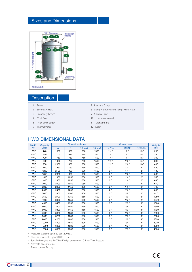### Sizes and Dimensions



### **Description**

- 1 Burner
- 2 Secondary Flow
- 3 Secondary Return
- 4 Cold Feed
- 5 High Limit Safety
- 6 Thermometer
- 7 Pressure Gauge
- 8 Safety Valve/Pressure Temp. Relief Valve
- 9 Control Panel
- 10 Low water cut-off
- 11 Lifting Hooks 12 Drain

### HWO DIMENSIONAL DATA

| <b>Model</b> | Capacity | Dimensions in mm |      |           |           | <b>Connections</b> |                  |                  | Weights |
|--------------|----------|------------------|------|-----------|-----------|--------------------|------------------|------------------|---------|
| No.          | Litres   | A                | B    | $C$ (max) | $D$ (max) | in /Out            | <b>DRAIN</b>     | <b>RETURN</b>    | kgs     |
| <b>HWO</b>   | 440      | 1800             | 600  | 600       | 1500      | $1\frac{1}{4}$     | 1"               | $1\frac{1}{4}$   | 250     |
| <b>HWO</b>   | 550      | 1700             | 675  | 675       | 1500      | $1\frac{1}{4}$     | 1"               | $1\frac{1}{4}$   | 260     |
| <b>HWO</b>   | 700      | 1750             | 750  | 750       | 1500      | $1\frac{1}{4}$     | 1"               | $1\frac{1}{4}$ " | 300     |
| <b>HWO</b>   | 800      | 1950             | 750  | 750       | 1500      | $1\frac{1}{2}$ "   | $1\frac{1}{4}$   | $1\frac{1}{2}$ " | 330     |
| <b>HWO</b>   | 900      | 2000             | 800  | 800       | 1500      | $1\frac{1}{2}$ "   | $1\frac{1}{4}$   | $1\frac{1}{2}$ " | 400     |
| <b>HWO</b>   | 1000     | 1950             | 750  | 750       | 1500      | 2"                 | $1\frac{1}{4}$   | 2"               | 430     |
| <b>HWO</b>   | 1200     | 2100             | 900  | 900       | 1500      | 2"                 | $1\frac{1}{4}$   | 2"               | 480     |
| <b>HWO</b>   | 1350     | 2350             | 900  | 900       | 1500      | 2"                 | $1\frac{1}{4}$   | 2"               | 530     |
| <b>HWO</b>   | 1500     | 1950             | 1050 | 1050      | 1500      | 2"                 | $1\frac{1}{4}$   | 2"               | 550     |
| <b>HWO</b>   | 1800     | 2300             | 1050 | 1050      | 1500      | 2"                 | $1\frac{1}{4}$   | 2"               | 630     |
| <b>HWO</b>   | 2000     | 2500             | 1050 | 1050      | 1500      | 2"                 | $1\frac{1}{4}$ " | 2"               | 670     |
| <b>HWO</b>   | 2300     | 2400             | 1150 | 1150      | 1500      | 2"                 | $1\frac{1}{4}$   | 2"               | 740     |
| <b>HWO</b>   | 2500     | 2450             | 1250 | 1200      | 1500      | 2"                 | $1\frac{1}{4}$   | 2"               | 800     |
| <b>HWO</b>   | 3000     | 2900             | 1200 | 1200      | 1500      | 2"                 | $1\frac{1}{2}$ " | 2"               | 910     |
| <b>HWO</b>   | 3500     | 2700             | 1350 | 1350      | 1500      | 2"                 | $1\frac{1}{2}$   | 2"               | 1250    |
| <b>HWO</b>   | 4000     | 3050             | 1350 | 1350      | 1500      | 2"                 | $1\frac{1}{2}$ " | 2"               | 1370    |
| <b>HWO</b>   | 4500     | 3400             | 1350 | 1350      | 1500      | 3"                 | $1\frac{1}{2}$   | 3"               | 1500    |
| <b>HWO</b>   | 5000     | 3200             | 1450 | 1450      | 1500      | 3"                 | $1\frac{1}{2}$   | 3"               | 1500    |
| <b>HWO</b>   | 6000     | 3800             | 1450 | 1450      | 1500      | 3"                 | $1\frac{1}{2}$   | 3"               | 1720    |
| <b>HWO</b>   | 7000     | 3300             | 1680 | 1500      | 1500      | 3"                 | $1\frac{1}{2}$   | 3"               | 2350    |
| <b>HWO</b>   | 8000     | 3700             | 1680 | 1500      | 1500      | 3"                 | $1\frac{1}{2}$ " | 3"               | 2560    |
| <b>HWO</b>   | 9000     | 4200             | 1680 | 1500      | 1500      | 3"                 | $1\frac{1}{2}$   | 3"               | 2820    |
| <b>HWO</b>   | 10000    | 4600             | 1680 | 1500      | 1500      | 3"                 | $1\frac{1}{2}$ " | 3"               | 3030    |
| <b>HWO</b>   | 12500    | 6000             | 1830 | 1500      | 1500      | 3"                 | $1\frac{1}{2}$ " | 3 "              | 4360    |
| <b>HWO</b>   | 15000    | 6000             | 1830 | 1500      | 1500      | 3"                 | $1\frac{1}{2}$ " | 3"               | 4360    |

\* Pressures available upto 20 bar (300psi).

\* Capacities available upto 30,000 litres.

\* Specified weights are for 7 bar Design pressure & 10.5 bar Test Pressure.

\* Alternate sizes available.

\* Please consult Factory.

 $C \in$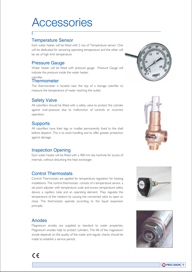### **Accessories**

### Temperature Sensor

Each water heater will be fitted with 2 nos of Temperature sensor. One will be dedicated for sensoring operating temperature and the other will be set of high limit temperature

### Pressure Gauge

Water heater will be fitted with pressure gauge. Pressure Gauge will indicate the pressure inside the water heater.

#### calorifier

### **Thermometer**

The thermometer is located near the top of a storage calorifier to measure the temperature of water reaching the outlet.

### Safety Valve

All calorifiers should be fitted with a safety valve to protect the cylinder against over-pressure due to malfunction of controls or incorrect operation.

### **Supports**

All calorifiers have their legs or cradles permanently fixed to the shell before dispatch. This is to assist handling and to offer greater protection against damage.

### Inspection Opening

Each water heater will be fitted with a 400 mm dia manhole for access of internals, without disturbing the heat exchanger.

### Control Thermostats

Control Thermostats are applied for temperature regulation for heating installations. The control thermostats consists of a temperature sensor, a set point adjuster with temperature scale and excess temperature safety device, a capillary tube and an operating element. They regulate the temperature of the medium by causing the connected valve to open or close. The thermostats operate according to the liquid expansion principle.

### Anodes

Magnesium anodes are supplied as standard to water properties. Magnesium anodes help to protect cylinders. The life of the magnesium anode depends on the quality of the water and regular checks should be made to establish a service period.







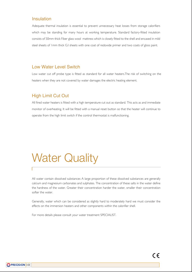#### Insulation

Adequate thermal insulation is essential to prevent unnecessary heat losses from storage calorifiers which may be standing for many hours at working temperature. Standard factory-fitted insulation consists of 50mm thick Fiber glass wool mattress which is closely fitted to the shell and encased in mild steel sheets of 1mm thick G.I sheets with one coat of redoxide primer and two coats of gloss paint.

#### Low Water Level Switch

Low water cut off probe type is fitted as standard for all water heaters.The risk of switching on the heaters when they are not covered by water damages the electric heating element.

#### High Limit Cut Out

 $\bigcirc$ PRECISION $|10$ 

All fired water heaters is fitted with a high temperature cut out as standard. This acts as and immediate monitor of overheating. It will be fitted with a manual reset button so that the heater will continue to operate from the high limit switch if the control thermostat is malfunctioning.

### Water Quality

All water contain dissolved substances A large proportion of these dissolved substances are generally calcium and magnesium carbonates and sulphates. The concentration of these salts in the water define the hardness of the water. Greater their concentration harder the water, smaller their concentration softer the water.

Generally, water which can be considered as slightly hard to moderately hard we must consider the effects on the immersion heaters and other components within the calorifier shell.

For more details please consult your water treatment SPECIALIST.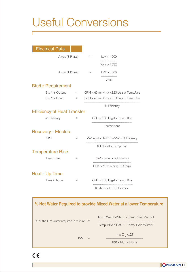## Useful Conversions

| <b>Electrical Data</b>             |          |     |                                                                         |  |  |
|------------------------------------|----------|-----|-------------------------------------------------------------------------|--|--|
| Amps (3 Phase)                     |          | $=$ | $kW \times 1000$                                                        |  |  |
|                                    |          |     | Volts $\times$ 1.732                                                    |  |  |
| Amps (I Phase)                     |          | $=$ | kW × 1000                                                               |  |  |
|                                    |          |     | Volts                                                                   |  |  |
| <b>Btu/hr Requirement</b>          |          |     |                                                                         |  |  |
| Btu / hr Output                    | $\equiv$ |     | GPM $\times$ 60 min/hr $\times$ $\times$ 8.33lb/gal $\times$ Temp. Rise |  |  |
| Btu / hr Input                     | $=$      |     | GPM $\times$ 60 min/hr $\times$ $\times$ 8.33lb/gal $\times$ Temp. Rise |  |  |
|                                    |          |     | % Efficiency                                                            |  |  |
| <b>Efficiency of Heat Transfer</b> |          |     |                                                                         |  |  |
| % Efficiency                       | $=$      |     | GPH $\times$ 8.33 lb/gal $\times$ Temp. Rise                            |  |  |
|                                    |          |     | Btu/hr Input                                                            |  |  |
| <b>Recovery - Electric</b>         |          |     |                                                                         |  |  |
| <b>GPH</b>                         | $\equiv$ |     | kW Input x 3412 Btu/kW x % Efficiency                                   |  |  |
|                                    |          |     | 8.33 lb/gal x Temp. Tise                                                |  |  |
| <b>Temperature Rise</b>            |          |     |                                                                         |  |  |
| Temp. Rise                         | $=$      |     | Btu/hr Input x % Efficiency                                             |  |  |
|                                    |          |     | GPM $\times$ 60 min/hr $\times$ 8.33 lb/gal                             |  |  |
| Heat - Up Time                     |          |     |                                                                         |  |  |
| Time in hours                      | $=$      |     | GPH $\times$ 8.33 lb/gal $\times$ Temp. Rise                            |  |  |
|                                    |          |     | Btu/hr Input $\times$ & Efficiency                                      |  |  |

### **% Hot Water Required to provide Mixed Water at a lower Temperature**

| % of the Hot water required in mixure $=$ | Temp. Mixed Water F - Temp. Cold Water F<br>Temp. Mixed Hot F - Temp. Cold Water F |
|-------------------------------------------|------------------------------------------------------------------------------------|
| KW                                        | $m \times C_{V} \times \Delta T$<br>$860 \times$ No. of Hours                      |

 $C \in$